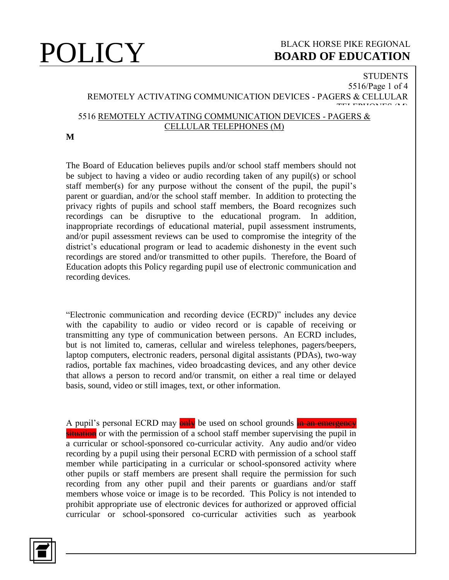### **STUDENTS** 5516/Page 1 of 4 REMOTELY ACTIVATING COMMUNICATION DEVICES - PAGERS & CELLULAR TELEPHONES (M) 5516 REMOTELY ACTIVATING COMMUNICATION DEVICES - PAGERS & CELLULAR TELEPHONES (M)

### **M**

The Board of Education believes pupils and/or school staff members should not be subject to having a video or audio recording taken of any pupil(s) or school staff member(s) for any purpose without the consent of the pupil, the pupil's parent or guardian, and/or the school staff member. In addition to protecting the privacy rights of pupils and school staff members, the Board recognizes such recordings can be disruptive to the educational program. In addition, inappropriate recordings of educational material, pupil assessment instruments, and/or pupil assessment reviews can be used to compromise the integrity of the district's educational program or lead to academic dishonesty in the event such recordings are stored and/or transmitted to other pupils. Therefore, the Board of Education adopts this Policy regarding pupil use of electronic communication and recording devices.

"Electronic communication and recording device (ECRD)" includes any device with the capability to audio or video record or is capable of receiving or transmitting any type of communication between persons. An ECRD includes, but is not limited to, cameras, cellular and wireless telephones, pagers/beepers, laptop computers, electronic readers, personal digital assistants (PDAs), two-way radios, portable fax machines, video broadcasting devices, and any other device that allows a person to record and/or transmit, on either a real time or delayed basis, sound, video or still images, text, or other information.

A pupil's personal ECRD may **only** be used on school grounds in an emergency situation or with the permission of a school staff member supervising the pupil in a curricular or school-sponsored co-curricular activity. Any audio and/or video recording by a pupil using their personal ECRD with permission of a school staff member while participating in a curricular or school-sponsored activity where other pupils or staff members are present shall require the permission for such recording from any other pupil and their parents or guardians and/or staff members whose voice or image is to be recorded. This Policy is not intended to prohibit appropriate use of electronic devices for authorized or approved official curricular or school-sponsored co-curricular activities such as yearbook

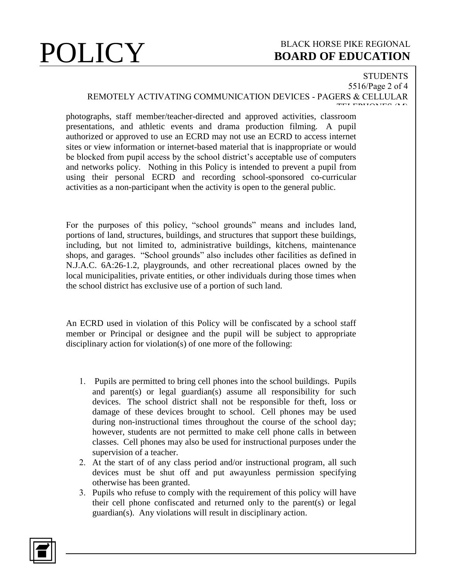# **STUDENTS**

### 5516/Page 2 of 4 REMOTELY ACTIVATING COMMUNICATION DEVICES - PAGERS & CELLULAR TELEPHONES (M)

photographs, staff member/teacher-directed and approved activities, classroom presentations, and athletic events and drama production filming. A pupil authorized or approved to use an ECRD may not use an ECRD to access internet sites or view information or internet-based material that is inappropriate or would be blocked from pupil access by the school district's acceptable use of computers and networks policy. Nothing in this Policy is intended to prevent a pupil from using their personal ECRD and recording school-sponsored co-curricular activities as a non-participant when the activity is open to the general public.

For the purposes of this policy, "school grounds" means and includes land, portions of land, structures, buildings, and structures that support these buildings, including, but not limited to, administrative buildings, kitchens, maintenance shops, and garages. "School grounds" also includes other facilities as defined in N.J.A.C. 6A:26-1.2, playgrounds, and other recreational places owned by the local municipalities, private entities, or other individuals during those times when the school district has exclusive use of a portion of such land.

An ECRD used in violation of this Policy will be confiscated by a school staff member or Principal or designee and the pupil will be subject to appropriate disciplinary action for violation(s) of one more of the following:

- 1. Pupils are permitted to bring cell phones into the school buildings. Pupils and parent(s) or legal guardian(s) assume all responsibility for such devices. The school district shall not be responsible for theft, loss or damage of these devices brought to school. Cell phones may be used during non-instructional times throughout the course of the school day; however, students are not permitted to make cell phone calls in between classes. Cell phones may also be used for instructional purposes under the supervision of a teacher.
- 2. At the start of of any class period and/or instructional program, all such devices must be shut off and put awayunless permission specifying otherwise has been granted.
- 3. Pupils who refuse to comply with the requirement of this policy will have their cell phone confiscated and returned only to the parent(s) or legal guardian(s). Any violations will result in disciplinary action.

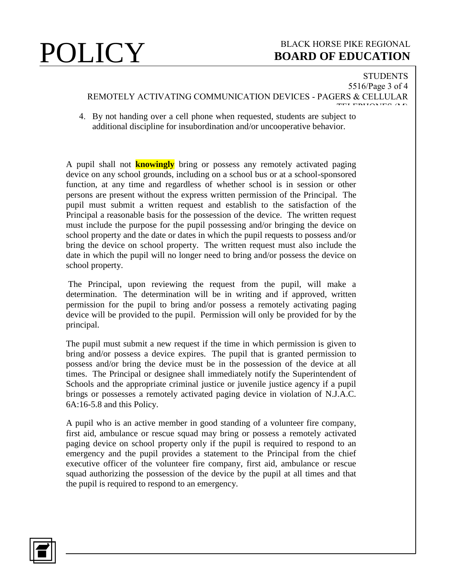### **STUDENTS** 5516/Page 3 of 4 REMOTELY ACTIVATING COMMUNICATION DEVICES - PAGERS & CELLULAR  $T$ ENIONES (M)

4. By not handing over a cell phone when requested, students are subject to additional discipline for insubordination and/or uncooperative behavior.

A pupil shall not **knowingly** bring or possess any remotely activated paging device on any school grounds, including on a school bus or at a school-sponsored function, at any time and regardless of whether school is in session or other persons are present without the express written permission of the Principal. The pupil must submit a written request and establish to the satisfaction of the Principal a reasonable basis for the possession of the device. The written request must include the purpose for the pupil possessing and/or bringing the device on school property and the date or dates in which the pupil requests to possess and/or bring the device on school property. The written request must also include the date in which the pupil will no longer need to bring and/or possess the device on school property.

The Principal, upon reviewing the request from the pupil, will make a determination. The determination will be in writing and if approved, written permission for the pupil to bring and/or possess a remotely activating paging device will be provided to the pupil. Permission will only be provided for by the principal.

The pupil must submit a new request if the time in which permission is given to bring and/or possess a device expires. The pupil that is granted permission to possess and/or bring the device must be in the possession of the device at all times. The Principal or designee shall immediately notify the Superintendent of Schools and the appropriate criminal justice or juvenile justice agency if a pupil brings or possesses a remotely activated paging device in violation of N.J.A.C. 6A:16-5.8 and this Policy.

A pupil who is an active member in good standing of a volunteer fire company, first aid, ambulance or rescue squad may bring or possess a remotely activated paging device on school property only if the pupil is required to respond to an emergency and the pupil provides a statement to the Principal from the chief executive officer of the volunteer fire company, first aid, ambulance or rescue squad authorizing the possession of the device by the pupil at all times and that the pupil is required to respond to an emergency.